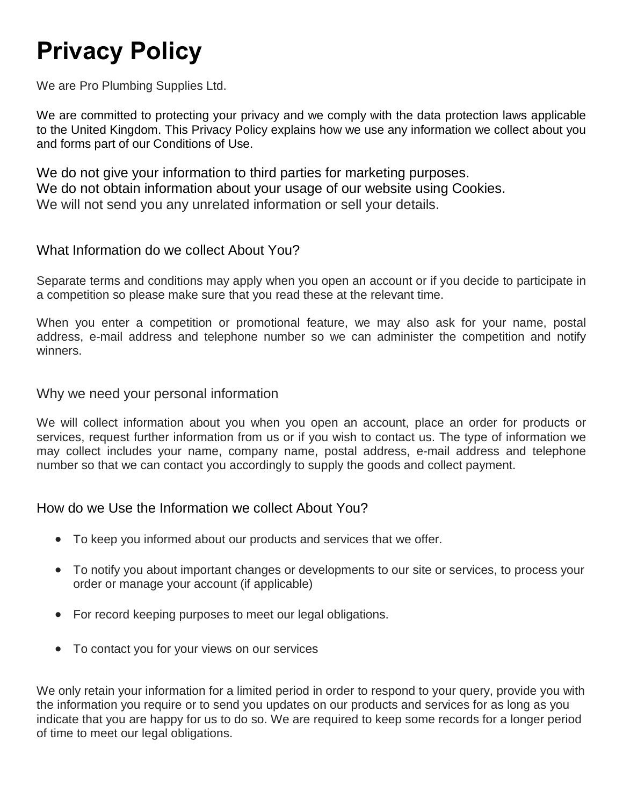# **Privacy Policy**

We are Pro Plumbing Supplies Ltd.

We are committed to protecting your privacy and we comply with the data protection laws applicable to the United Kingdom. This Privacy Policy explains how we use any information we collect about you and forms part of our Conditions of Use.

We do not give your information to third parties for marketing purposes. We do not obtain information about your usage of our website using Cookies. We will not send you any unrelated information or sell your details.

## What Information do we collect About You?

Separate terms and conditions may apply when you open an account or if you decide to participate in a competition so please make sure that you read these at the relevant time.

When you enter a competition or promotional feature, we may also ask for your name, postal address, e-mail address and telephone number so we can administer the competition and notify winners.

#### Why we need your personal information

We will collect information about you when you open an account, place an order for products or services, request further information from us or if you wish to contact us. The type of information we may collect includes your name, company name, postal address, e-mail address and telephone number so that we can contact you accordingly to supply the goods and collect payment.

## How do we Use the Information we collect About You?

- To keep you informed about our products and services that we offer.
- To notify you about important changes or developments to our site or services, to process your order or manage your account (if applicable)
- For record keeping purposes to meet our legal obligations.
- To contact you for your views on our services

We only retain your information for a limited period in order to respond to your query, provide you with the information you require or to send you updates on our products and services for as long as you indicate that you are happy for us to do so. We are required to keep some records for a longer period of time to meet our legal obligations.